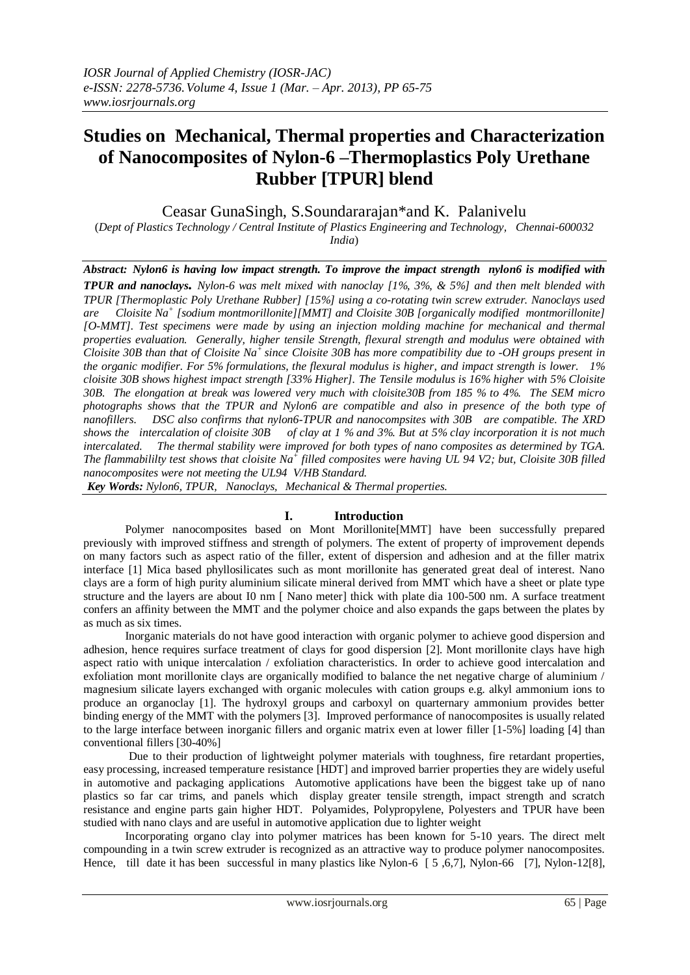# **Studies on Mechanical, Thermal properties and Characterization of Nanocomposites of Nylon-6 –Thermoplastics Poly Urethane Rubber [TPUR] blend**

Ceasar GunaSingh, S.Soundararajan\*and K. Palanivelu

(*Dept of Plastics Technology / Central Institute of Plastics Engineering and Technology, Chennai-600032 India*)

*Abstract: Nylon6 is having low impact strength. To improve the impact strength nylon6 is modified with TPUR and nanoclays. Nylon-6 was melt mixed with nanoclay [1%, 3%, & 5%] and then melt blended with TPUR [Thermoplastic Poly Urethane Rubber] [15%] using a co-rotating twin screw extruder. Nanoclays used are Cloisite Na<sup>+</sup> [sodium montmorillonite][MMT] and Cloisite 30B [organically modified montmorillonite] [O-MMT]. Test specimens were made by using an injection molding machine for mechanical and thermal properties evaluation. Generally, higher tensile Strength, flexural strength and modulus were obtained with Cloisite 30B than that of Cloisite Na<sup>+</sup> since Cloisite 30B has more compatibility due to -OH groups present in the organic modifier. For 5% formulations, the flexural modulus is higher, and impact strength is lower. 1% cloisite 30B shows highest impact strength [33% Higher]. The Tensile modulus is 16% higher with 5% Cloisite 30B. The elongation at break was lowered very much with cloisite30B from 185 % to 4%. The SEM micro photographs shows that the TPUR and Nylon6 are compatible and also in presence of the both type of nanofillers. DSC also confirms that nylon6-TPUR and nanocompsites with 30B are compatible. The XRD shows the intercalation of cloisite 30B of clay at 1 % and 3%. But at 5% clay incorporation it is not much intercalated. The thermal stability were improved for both types of nano composites as determined by TGA. The flammabililty test shows that cloisite Na<sup>+</sup> filled composites were having UL 94 V2; but, Cloisite 30B filled nanocomposites were not meeting the UL94 V/HB Standard.* 

*Key Words: Nylon6, TPUR, Nanoclays, Mechanical & Thermal properties.*

## **I. Introduction**

Polymer nanocomposites based on Mont Morillonite[MMT] have been successfully prepared previously with improved stiffness and strength of polymers. The extent of property of improvement depends on many factors such as aspect ratio of the filler, extent of dispersion and adhesion and at the filler matrix interface [1] Mica based phyllosilicates such as mont morillonite has generated great deal of interest. Nano clays are a form of high purity aluminium silicate mineral derived from MMT which have a sheet or plate type structure and the layers are about I0 nm [ Nano meter] thick with plate dia 100-500 nm. A surface treatment confers an affinity between the MMT and the polymer choice and also expands the gaps between the plates by as much as six times.

 Inorganic materials do not have good interaction with organic polymer to achieve good dispersion and adhesion, hence requires surface treatment of clays for good dispersion [2]. Mont morillonite clays have high aspect ratio with unique intercalation / exfoliation characteristics. In order to achieve good intercalation and exfoliation mont morillonite clays are organically modified to balance the net negative charge of aluminium / magnesium silicate layers exchanged with organic molecules with cation groups e.g. alkyl ammonium ions to produce an organoclay [1]. The hydroxyl groups and carboxyl on quarternary ammonium provides better binding energy of the MMT with the polymers [3]. Improved performance of nanocomposites is usually related to the large interface between inorganic fillers and organic matrix even at lower filler [1-5%] loading [4] than conventional fillers [30-40%]

 Due to their production of lightweight polymer materials with toughness, fire retardant properties, easy processing, increased temperature resistance [HDT] and improved barrier properties they are widely useful in automotive and packaging applications Automotive applications have been the biggest take up of nano plastics so far car trims, and panels which display greater tensile strength, impact strength and scratch resistance and engine parts gain higher HDT. Polyamides, Polypropylene, Polyesters and TPUR have been studied with nano clays and are useful in automotive application due to lighter weight

Incorporating organo clay into polymer matrices has been known for 5-10 years. The direct melt compounding in a twin screw extruder is recognized as an attractive way to produce polymer nanocomposites. Hence, till date it has been successful in many plastics like Nylon-6 [5, 6,7], Nylon-66 [7], Nylon-12[8],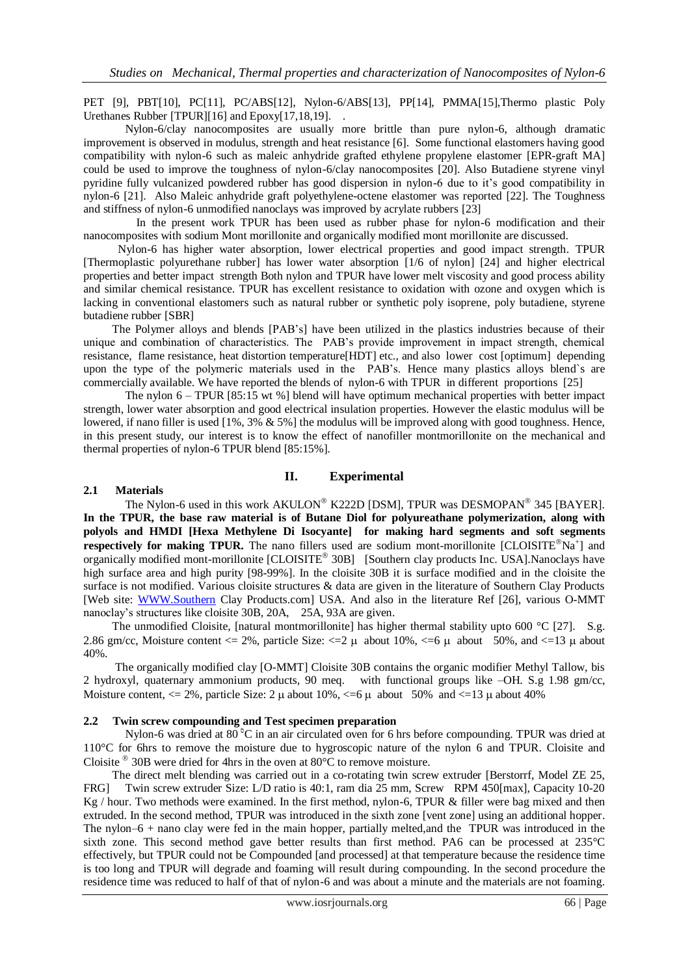PET [9], PBT[10], PC[11], PC/ABS[12], Nylon-6/ABS[13], PP[14], PMMA[15],Thermo plastic Poly Urethanes Rubber [TPUR][16] and Epoxy[17,18,19]. .

 Nylon-6/clay nanocomposites are usually more brittle than pure nylon-6, although dramatic improvement is observed in modulus, strength and heat resistance [6]. Some functional elastomers having good compatibility with nylon-6 such as maleic anhydride grafted ethylene propylene elastomer [EPR-graft MA] could be used to improve the toughness of nylon-6/clay nanocomposites [20]. Also Butadiene styrene vinyl pyridine fully vulcanized powdered rubber has good dispersion in nylon-6 due to it's good compatibility in nylon-6 [21]. Also Maleic anhydride graft polyethylene-octene elastomer was reported [22]. The Toughness and stiffness of nylon-6 unmodified nanoclays was improved by acrylate rubbers [23]

 In the present work TPUR has been used as rubber phase for nylon-6 modification and their nanocomposites with sodium Mont morillonite and organically modified mont morillonite are discussed.

 Nylon-6 has higher water absorption, lower electrical properties and good impact strength. TPUR [Thermoplastic polyurethane rubber] has lower water absorption [1/6 of nylon] [24] and higher electrical properties and better impact strength Both nylon and TPUR have lower melt viscosity and good process ability and similar chemical resistance. TPUR has excellent resistance to oxidation with ozone and oxygen which is lacking in conventional elastomers such as natural rubber or synthetic poly isoprene, poly butadiene, styrene butadiene rubber [SBR]

 The Polymer alloys and blends [PAB's] have been utilized in the plastics industries because of their unique and combination of characteristics. The PAB's provide improvement in impact strength, chemical resistance, flame resistance, heat distortion temperature[HDT] etc., and also lower cost [optimum] depending upon the type of the polymeric materials used in the PAB's. Hence many plastics alloys blend`s are commercially available. We have reported the blends of nylon-6 with TPUR in different proportions [25]

The nylon 6 – TPUR [85:15 wt %] blend will have optimum mechanical properties with better impact strength, lower water absorption and good electrical insulation properties. However the elastic modulus will be lowered, if nano filler is used [1%, 3% & 5%] the modulus will be improved along with good toughness. Hence, in this present study, our interest is to know the effect of nanofiller montmorillonite on the mechanical and thermal properties of nylon-6 TPUR blend [85:15%].

#### **II. Experimental**

#### **2.1 Materials**

The Nylon-6 used in this work  $AKULON^{\circ}$  K222D [DSM], TPUR was DESMOPAN<sup>®</sup> 345 [BAYER]. **In the TPUR, the base raw material is of Butane Diol for polyureathane polymerization, along with polyols and HMDI [Hexa Methylene Di Isocyante] for making hard segments and soft segments respectively for making TPUR.** The nano fillers used are sodium mont-morillonite [CLOISITE<sup>®</sup>Na<sup>+</sup>] and organically modified mont-morillonite [CLOISITE 30B] [Southern clay products Inc. USA].Nanoclays have high surface area and high purity [98-99%]. In the cloisite 30B it is surface modified and in the cloisite the surface is not modified. Various cloisite structures & data are given in the literature of Southern Clay Products [Web site: [WWW.Southern](http://www.southern/) Clay Products.com] USA. And also in the literature Ref [26], various O-MMT nanoclay's structures like cloisite 30B, 20A, 25A, 93A are given.

The unmodified Cloisite, [natural montmorillonite] has higher thermal stability upto 600 °C [27]. S.g. 2.86 gm/cc, Moisture content  $\leq$  2%, particle Size:  $\leq$  2  $\mu$  about 10%,  $\leq$  6  $\mu$  about 50%, and  $\leq$  13  $\mu$  about 40%.

 The organically modified clay [O-MMT] Cloisite 30B contains the organic modifier Methyl Tallow, bis 2 hydroxyl, quaternary ammonium products, 90 meq. with functional groups like –OH. S.g 1.98 gm/cc, Moisture content,  $\langle 20, 20 \rangle$ , particle Size: 2  $\mu$  about 10%,  $\langle -6 \mu \rangle$  about 50% and  $\langle -13 \mu \rangle$  about 40%

#### **2.2 Twin screw compounding and Test specimen preparation**

Nylon-6 was dried at 80  $^{\circ}$ C in an air circulated oven for 6 hrs before compounding. TPUR was dried at 110°C for 6hrs to remove the moisture due to hygroscopic nature of the nylon 6 and TPUR. Cloisite and Cloisite  $\degree$  30B were dried for 4hrs in the oven at 80 $\degree$ C to remove moisture.

 The direct melt blending was carried out in a co-rotating twin screw extruder [Berstorrf, Model ZE 25, FRG] Twin screw extruder Size: L/D ratio is 40:1, ram dia 25 mm, Screw RPM 450[max], Capacity 10-20 Kg / hour. Two methods were examined. In the first method, nylon-6, TPUR & filler were bag mixed and then extruded. In the second method, TPUR was introduced in the sixth zone [vent zone] using an additional hopper. The nylon–6 + nano clay were fed in the main hopper, partially melted,and the TPUR was introduced in the sixth zone. This second method gave better results than first method. PA6 can be processed at 235°C effectively, but TPUR could not be Compounded [and processed] at that temperature because the residence time is too long and TPUR will degrade and foaming will result during compounding. In the second procedure the residence time was reduced to half of that of nylon-6 and was about a minute and the materials are not foaming.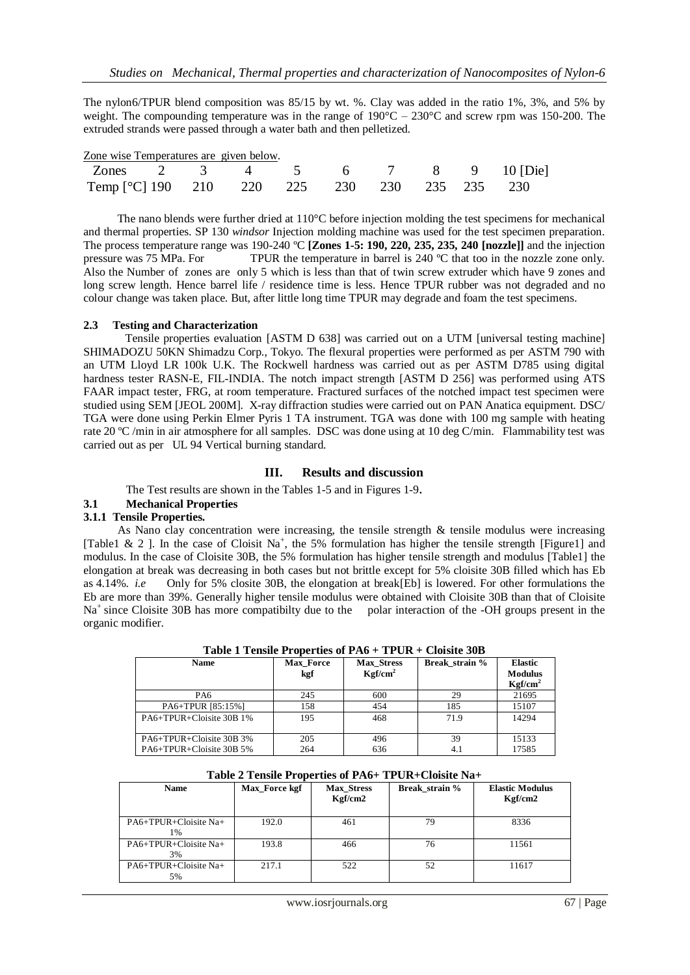The nylon6/TPUR blend composition was 85/15 by wt. %. Clay was added in the ratio 1%, 3%, and 5% by weight. The compounding temperature was in the range of 190°C – 230°C and screw rpm was 150-200. The extruded strands were passed through a water bath and then pelletized.

| Zone wise Temperatures are given below. |  |  |  |  |  |  |  |
|-----------------------------------------|--|--|--|--|--|--|--|
|-----------------------------------------|--|--|--|--|--|--|--|

| Zones 2 3 4 5 6 7 8 9 10 [Die]                |  |  |  |  |  |
|-----------------------------------------------|--|--|--|--|--|
| Temp [°C] 190 210 220 225 230 230 235 235 230 |  |  |  |  |  |

 The nano blends were further dried at 110°C before injection molding the test specimens for mechanical and thermal properties. SP 130 *windsor* Injection molding machine was used for the test specimen preparation. The process temperature range was 190-240 ºC **[Zones 1-5: 190, 220, 235, 235, 240 [nozzle]]** and the injection pressure was 75 MPa. For TPUR the temperature in barrel is 240 ºC that too in the nozzle zone only. Also the Number of zones are only 5 which is less than that of twin screw extruder which have 9 zones and long screw length. Hence barrel life / residence time is less. Hence TPUR rubber was not degraded and no colour change was taken place. But, after little long time TPUR may degrade and foam the test specimens.

#### **2.3 Testing and Characterization**

Tensile properties evaluation [ASTM D 638] was carried out on a UTM [universal testing machine] SHIMADOZU 50KN Shimadzu Corp., Tokyo. The flexural properties were performed as per ASTM 790 with an UTM Lloyd LR 100k U.K. The Rockwell hardness was carried out as per ASTM D785 using digital hardness tester RASN-E, FIL-INDIA. The notch impact strength [ASTM D 256] was performed using ATS FAAR impact tester, FRG, at room temperature. Fractured surfaces of the notched impact test specimen were studied using SEM [JEOL 200M]. X-ray diffraction studies were carried out on PAN Anatica equipment. DSC/ TGA were done using Perkin Elmer Pyris 1 TA instrument. TGA was done with 100 mg sample with heating rate 20 ºC /min in air atmosphere for all samples. DSC was done using at 10 deg C/min. Flammability test was carried out as per UL 94 Vertical burning standard.

#### **III. Results and discussion**

The Test results are shown in the Tables 1-5 and in Figures 1-9.

## **3.1 Mechanical Properties**

#### **3.1.1 Tensile Properties.**

As Nano clay concentration were increasing, the tensile strength  $\&$  tensile modulus were increasing [Table1 & 2 ]. In the case of Cloisit Na<sup>+</sup>, the 5% formulation has higher the tensile strength [Figure1] and modulus. In the case of Cloisite 30B, the 5% formulation has higher tensile strength and modulus [Table1] the elongation at break was decreasing in both cases but not brittle except for 5% cloisite 30B filled which has Eb as 4.14%. *i.e* Only for 5% closite 30B, the elongation at break[Eb] is lowered. For other formulations the Eb are more than 39%. Generally higher tensile modulus were obtained with Cloisite 30B than that of Cloisite Na<sup>+</sup> since Cloisite 30B has more compatibilty due to the polar interaction of the -OH groups present in the organic modifier.

| <b>Name</b>              | Max Force<br>kgf | <b>Max Stress</b><br>Kgf/cm <sup>2</sup> | Break strain % | <b>Elastic</b><br><b>Modulus</b><br>Kgf/cm <sup>2</sup> |
|--------------------------|------------------|------------------------------------------|----------------|---------------------------------------------------------|
| PA6                      | 245              | 600                                      | 29             | 21695                                                   |
| PA6+TPUR [85:15%]        | 158              | 454                                      | 185            | 15107                                                   |
| PA6+TPUR+Cloisite 30B 1% | 195              | 468                                      | 71.9           | 14294                                                   |
| PA6+TPUR+Cloisite 30B 3% | 205              | 496                                      | 39             | 15133                                                   |
| PA6+TPUR+Cloisite 30B 5% | 264              | 636                                      | 4.1            | 17585                                                   |

**Table 1 Tensile Properties of PA6 + TPUR + Cloisite 30B**

|  |  | Table 2 Tensile Properties of PA6+ TPUR+Cloisite Na+ |
|--|--|------------------------------------------------------|
|--|--|------------------------------------------------------|

| <b>Name</b>                    | Max Force kgf | <b>Max Stress</b><br>Kgf/cm2 | Break strain % | <b>Elastic Modulus</b><br>Kgf/cm2 |
|--------------------------------|---------------|------------------------------|----------------|-----------------------------------|
| PA6+TPUR+Cloisite Na+<br>$1\%$ | 192.0         | 461                          | 79             | 8336                              |
| PA6+TPUR+Cloisite Na+<br>3%    | 193.8         | 466                          | 76             | 11561                             |
| PA6+TPUR+Cloisite Na+<br>5%    | 217.1         | 522                          | 52             | 11617                             |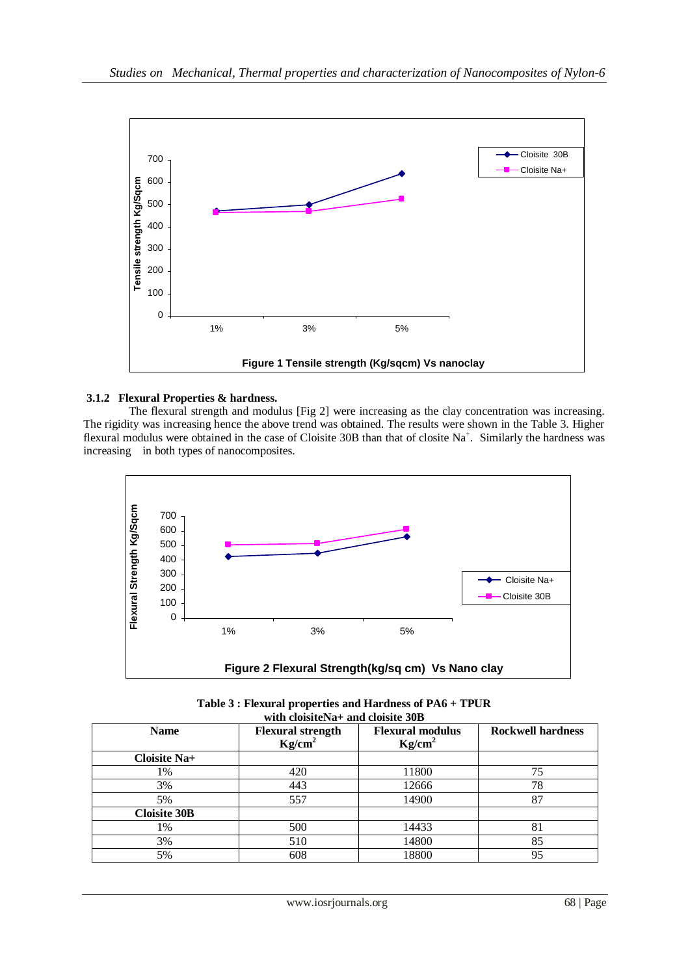

## **3.1.2 Flexural Properties & hardness.**

The flexural strength and modulus [Fig 2] were increasing as the clay concentration was increasing. The rigidity was increasing hence the above trend was obtained. The results were shown in the Table 3. Higher flexural modulus were obtained in the case of Cloisite 30B than that of closite Na<sup>+</sup>. Similarly the hardness was increasing in both types of nanocomposites.



**Table 3 : Flexural properties and Hardness of PA6 + TPUR with cloisiteNa+ and cloisite 30B**

| <b>Name</b>         | <b>Flexural strength</b><br>Kg/cm <sup>2</sup> | <b>Flexural modulus</b><br>Kg/cm <sup>2</sup> | <b>Rockwell hardness</b> |  |  |  |  |
|---------------------|------------------------------------------------|-----------------------------------------------|--------------------------|--|--|--|--|
| Cloisite Na+        |                                                |                                               |                          |  |  |  |  |
| 1%                  | 420                                            | 11800                                         | 75                       |  |  |  |  |
| 3%                  | 443                                            | 12666                                         | 78                       |  |  |  |  |
| 5%                  | 557                                            | 14900                                         | 87                       |  |  |  |  |
| <b>Cloisite 30B</b> |                                                |                                               |                          |  |  |  |  |
| 1%                  | 500                                            | 14433                                         | 81                       |  |  |  |  |
| 3%                  | 510                                            | 14800                                         | 85                       |  |  |  |  |
| 5%                  | 608                                            | 18800                                         | 95                       |  |  |  |  |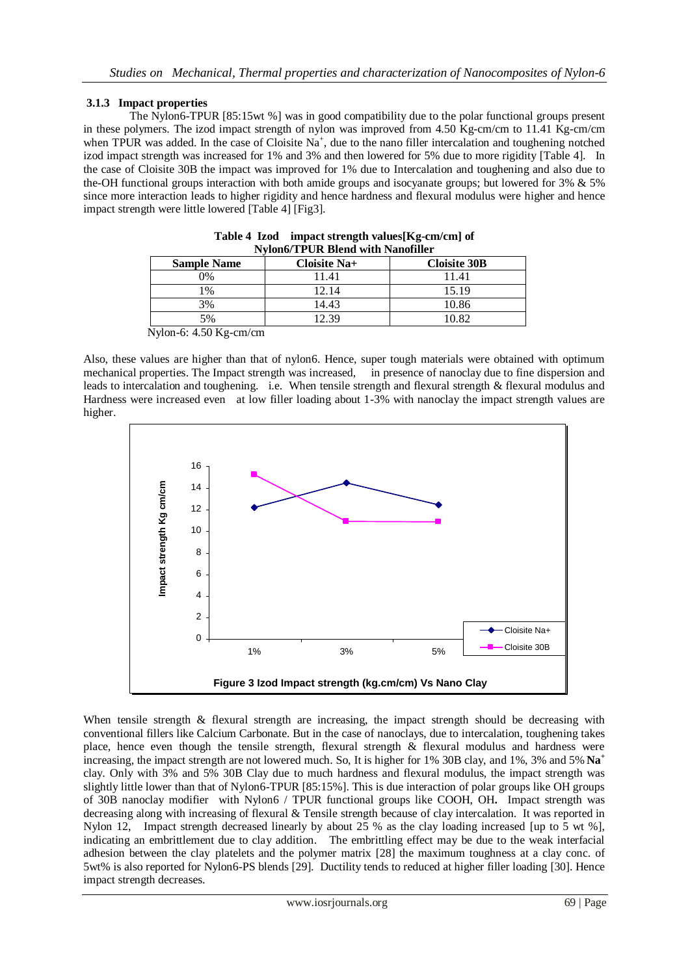## **3.1.3 Impact properties**

 The Nylon6-TPUR [85:15wt %] was in good compatibility due to the polar functional groups present in these polymers. The izod impact strength of nylon was improved from 4.50 Kg-cm/cm to 11.41 Kg-cm/cm when TPUR was added. In the case of Cloisite  $Na^+$ , due to the nano filler intercalation and toughening notched izod impact strength was increased for 1% and 3% and then lowered for 5% due to more rigidity [Table 4]. In the case of Cloisite 30B the impact was improved for 1% due to Intercalation and toughening and also due to the-OH functional groups interaction with both amide groups and isocyanate groups; but lowered for 3% & 5% since more interaction leads to higher rigidity and hence hardness and flexural modulus were higher and hence impact strength were little lowered [Table 4] [Fig3].

| NVIONO/ LPUK BIENA WIIN NANOIIIIET                                                                                                                                                                                                                                                                                                 |              |                     |  |  |  |
|------------------------------------------------------------------------------------------------------------------------------------------------------------------------------------------------------------------------------------------------------------------------------------------------------------------------------------|--------------|---------------------|--|--|--|
| <b>Sample Name</b>                                                                                                                                                                                                                                                                                                                 | Cloisite Na+ | <b>Cloisite 30B</b> |  |  |  |
| 0%                                                                                                                                                                                                                                                                                                                                 | 11.41        | 11.41               |  |  |  |
| $\frac{0}{6}$                                                                                                                                                                                                                                                                                                                      | 12.14        | 15.19               |  |  |  |
| 3%                                                                                                                                                                                                                                                                                                                                 | 14.43        | 10.86               |  |  |  |
| 5%                                                                                                                                                                                                                                                                                                                                 | 2.39         | 10.82               |  |  |  |
| $\mathbf{M}$ $\mathbf{1}$ $\mathbf{2}$ $\mathbf{4}$ $\mathbf{5}$ $\mathbf{0}$ $\mathbf{1}$ $\mathbf{5}$ $\mathbf{5}$ $\mathbf{1}$ $\mathbf{5}$ $\mathbf{1}$ $\mathbf{5}$ $\mathbf{1}$ $\mathbf{5}$ $\mathbf{1}$ $\mathbf{5}$ $\mathbf{1}$ $\mathbf{5}$ $\mathbf{1}$ $\mathbf{5}$ $\mathbf{1}$ $\mathbf{5}$ $\mathbf{1}$ $\mathbf{$ |              |                     |  |  |  |

| Table 4 Izod impact strength values [Kg-cm/cm] of |
|---------------------------------------------------|
| <b>Nylon6/TPUR Blend with Nanofiller</b>          |

Also, these values are higher than that of nylon6. Hence, super tough materials were obtained with optimum mechanical properties. The Impact strength was increased, in presence of nanoclay due to fine dispersion and leads to intercalation and toughening. i.e. When tensile strength and flexural strength & flexural modulus and Hardness were increased even at low filler loading about 1-3% with nanoclay the impact strength values are higher.



When tensile strength & flexural strength are increasing, the impact strength should be decreasing with conventional fillers like Calcium Carbonate. But in the case of nanoclays, due to intercalation, toughening takes place, hence even though the tensile strength, flexural strength & flexural modulus and hardness were increasing, the impact strength are not lowered much. So, It is higher for 1% 30B clay, and 1%, 3% and 5% **Na<sup>+</sup>** clay. Only with 3% and 5% 30B Clay due to much hardness and flexural modulus, the impact strength was slightly little lower than that of Nylon6-TPUR [85:15%]. This is due interaction of polar groups like OH groups of 30B nanoclay modifier with Nylon6 / TPUR functional groups like COOH, OH**.** Impact strength was decreasing along with increasing of flexural & Tensile strength because of clay intercalation. It was reported in Nylon 12, Impact strength decreased linearly by about 25 % as the clay loading increased [up to 5 wt %], indicating an embrittlement due to clay addition. The embrittling effect may be due to the weak interfacial adhesion between the clay platelets and the polymer matrix [28] the maximum toughness at a clay conc. of 5wt% is also reported for Nylon6-PS blends [29]. Ductility tends to reduced at higher filler loading [30]. Hence impact strength decreases.

Nylon-6: 4.50 Kg-cm/cm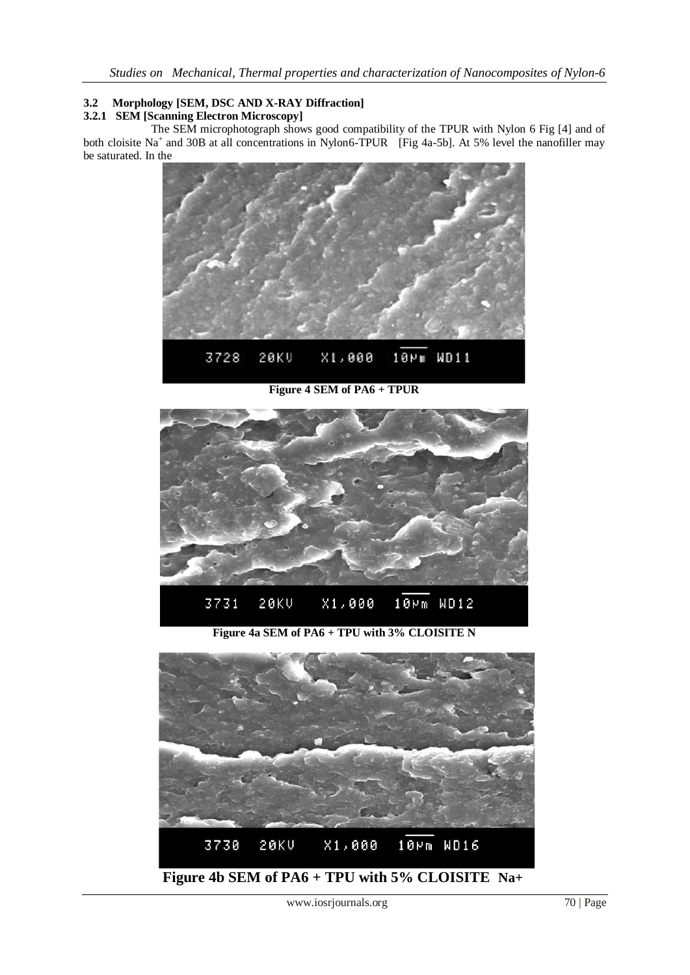# **3.2 Morphology [SEM, DSC AND X-RAY Diffraction]**

# **3.2.1 SEM [Scanning Electron Microscopy]**

The SEM microphotograph shows good compatibility of the TPUR with Nylon 6 Fig [4] and of both cloisite Na<sup>+</sup> and 30B at all concentrations in Nylon6-TPUR [Fig 4a-5b]. At 5% level the nanofiller may be saturated. In the



**Figure 4 SEM of PA6 + TPUR**



**Figure 4a SEM of PA6 + TPU with 3% CLOISITE N**

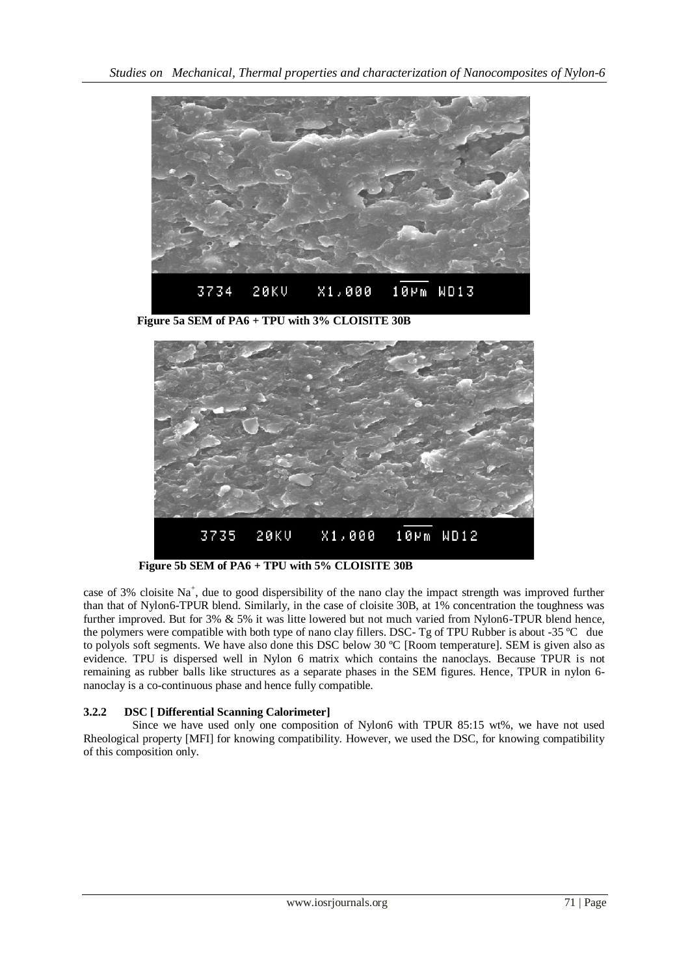

 **Figure 5a SEM of PA6 + TPU with 3% CLOISITE 30B**



**Figure 5b SEM of PA6 + TPU with 5% CLOISITE 30B**

case of 3% cloisite Na<sup>+</sup>, due to good dispersibility of the nano clay the impact strength was improved further than that of Nylon6-TPUR blend. Similarly, in the case of cloisite 30B, at 1% concentration the toughness was further improved. But for 3% & 5% it was litte lowered but not much varied from Nylon6-TPUR blend hence, the polymers were compatible with both type of nano clay fillers. DSC- Tg of TPU Rubber is about -35 ºC due to polyols soft segments. We have also done this DSC below 30 ºC [Room temperature]. SEM is given also as evidence. TPU is dispersed well in Nylon 6 matrix which contains the nanoclays. Because TPUR is not remaining as rubber balls like structures as a separate phases in the SEM figures. Hence, TPUR in nylon 6 nanoclay is a co-continuous phase and hence fully compatible.

## **3.2.2 DSC [ Differential Scanning Calorimeter]**

 Since we have used only one composition of Nylon6 with TPUR 85:15 wt%, we have not used Rheological property [MFI] for knowing compatibility. However, we used the DSC, for knowing compatibility of this composition only.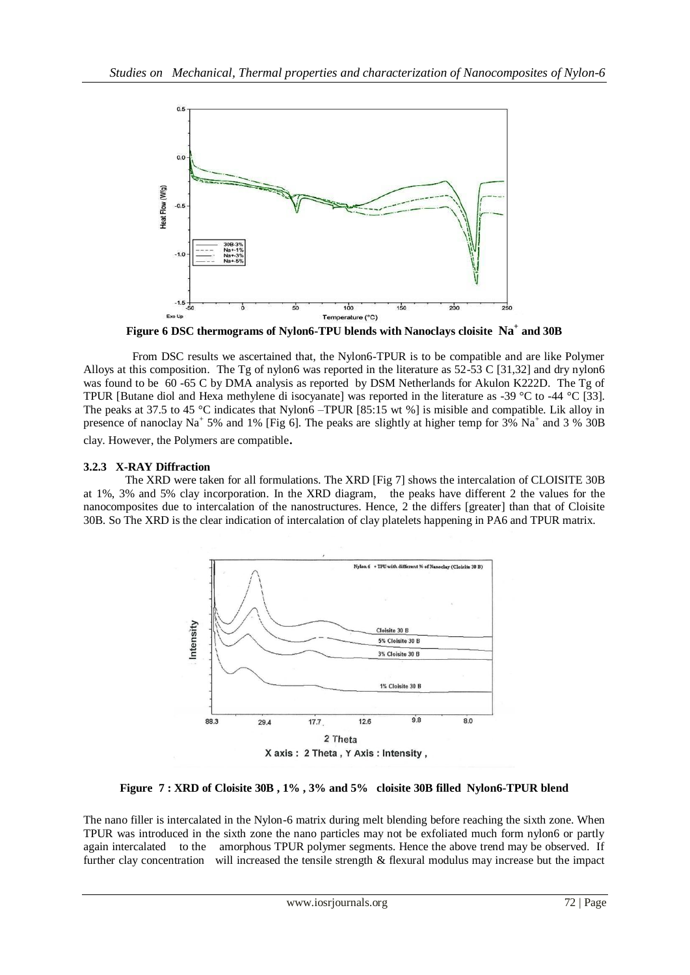

**Figure 6 DSC thermograms of Nylon6-TPU blends with Nanoclays cloisite Na<sup>+</sup> and 30B**

 From DSC results we ascertained that, the Nylon6-TPUR is to be compatible and are like Polymer Alloys at this composition. The Tg of nylon6 was reported in the literature as 52-53 C [31,32] and dry nylon6 was found to be 60 -65 C by DMA analysis as reported by DSM Netherlands for Akulon K222D. The Tg of TPUR [Butane diol and Hexa methylene di isocyanate] was reported in the literature as -39 °C to -44 °C [33]. The peaks at 37.5 to 45 °C indicates that Nylon6 –TPUR [85:15 wt %] is misible and compatible. Lik alloy in presence of nanoclay Na<sup>+</sup> 5% and 1% [Fig 6]. The peaks are slightly at higher temp for 3% Na<sup>+</sup> and 3 % 30B clay. However, the Polymers are compatible.

#### **3.2.3 X-RAY Diffraction**

The XRD were taken for all formulations. The XRD [Fig 7] shows the intercalation of CLOISITE 30B at 1%, 3% and 5% clay incorporation. In the XRD diagram, the peaks have different 2 the values for the nanocomposites due to intercalation of the nanostructures. Hence, 2 the differs [greater] than that of Cloisite 30B. So The XRD is the clear indication of intercalation of clay platelets happening in PA6 and TPUR matrix.



**Figure 7 : XRD of Cloisite 30B , 1% , 3% and 5% cloisite 30B filled Nylon6-TPUR blend**

The nano filler is intercalated in the Nylon-6 matrix during melt blending before reaching the sixth zone. When TPUR was introduced in the sixth zone the nano particles may not be exfoliated much form nylon6 or partly again intercalated to the amorphous TPUR polymer segments. Hence the above trend may be observed. If further clay concentration will increased the tensile strength & flexural modulus may increase but the impact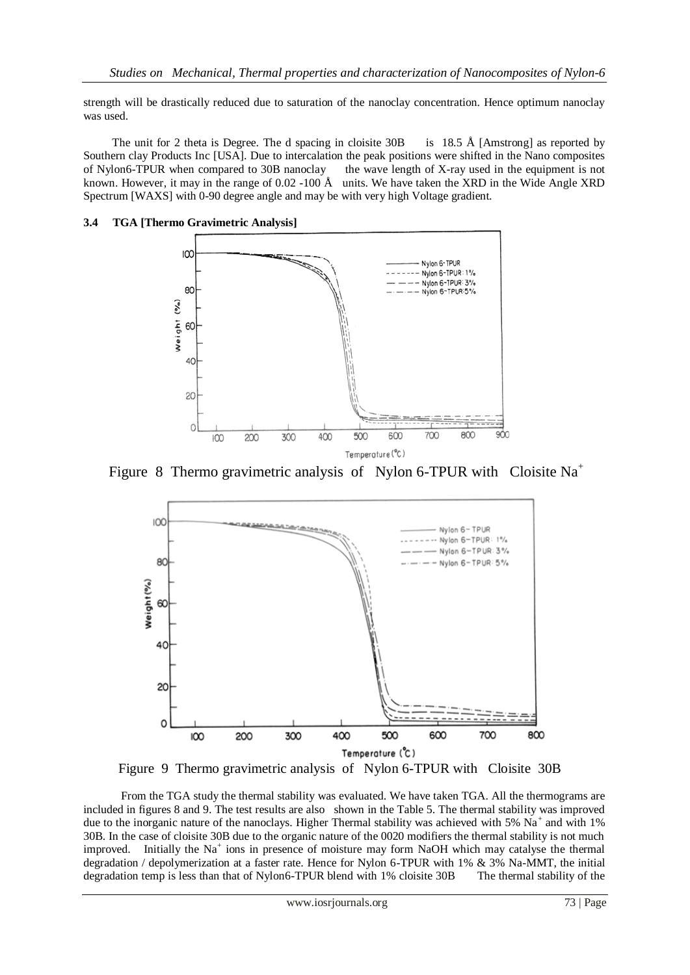strength will be drastically reduced due to saturation of the nanoclay concentration. Hence optimum nanoclay was used.

The unit for 2 theta is Degree. The d spacing in cloisite  $30B$  is 18.5 Å [Amstrong] as reported by Southern clay Products Inc [USA]. Due to intercalation the peak positions were shifted in the Nano composites of Nylon6-TPUR when compared to 30B nanoclay the wave length of X-ray used in the equipment is not known. However, it may in the range of 0.02 -100 Å units. We have taken the XRD in the Wide Angle XRD Spectrum [WAXS] with 0-90 degree angle and may be with very high Voltage gradient.



## **3.4 TGA [Thermo Gravimetric Analysis]**

Figure 8 Thermo gravimetric analysis of Nylon 6-TPUR with Cloisite  $Na<sup>+</sup>$ 



Figure 9 Thermo gravimetric analysis of Nylon 6-TPUR with Cloisite 30B

 From the TGA study the thermal stability was evaluated. We have taken TGA. All the thermograms are included in figures 8 and 9. The test results are also shown in the Table 5. The thermal stability was improved due to the inorganic nature of the nanoclays. Higher Thermal stability was achieved with 5%  $Na<sup>+</sup>$  and with 1% 30B. In the case of cloisite 30B due to the organic nature of the 0020 modifiers the thermal stability is not much improved. Initially the  $Na<sup>+</sup>$  ions in presence of moisture may form NaOH which may catalyse the thermal degradation / depolymerization at a faster rate. Hence for Nylon 6-TPUR with 1% & 3% Na-MMT, the initial degradation temp is less than that of Nylon6-TPUR blend with 1% cloisite 30B The thermal stability of the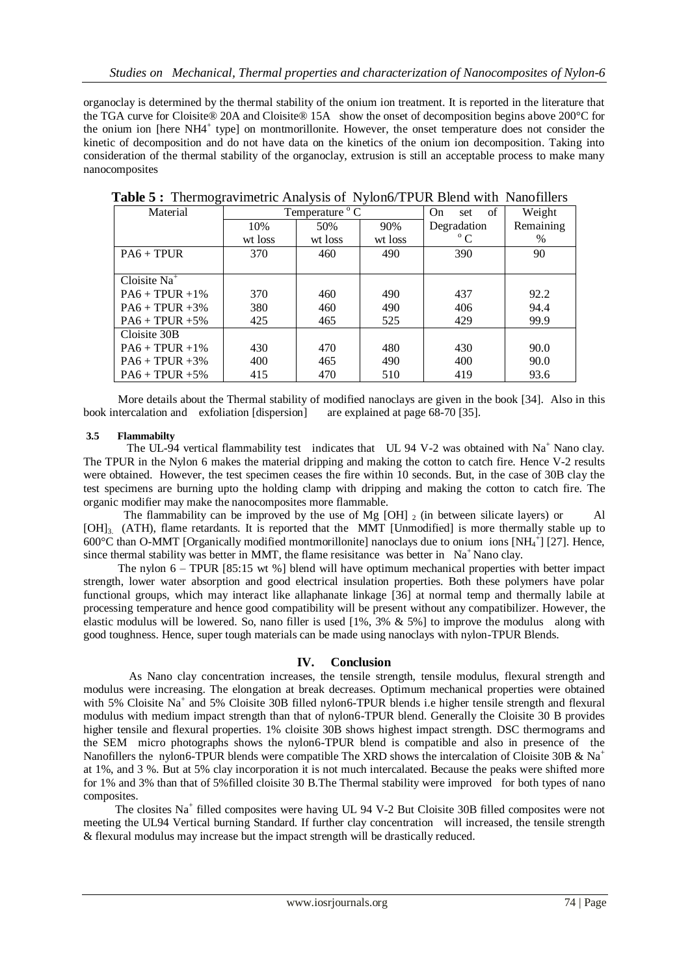organoclay is determined by the thermal stability of the onium ion treatment. It is reported in the literature that the TGA curve for Cloisite® 20A and Cloisite® 15A show the onset of decomposition begins above 200°C for the onium ion [here NH4<sup>+</sup> type] on montmorillonite. However, the onset temperature does not consider the kinetic of decomposition and do not have data on the kinetics of the onium ion decomposition. Taking into consideration of the thermal stability of the organoclay, extrusion is still an acceptable process to make many nanocomposites

| Material            | Temperature ° C |         |         | of<br><b>On</b><br>set | Weight    |
|---------------------|-----------------|---------|---------|------------------------|-----------|
|                     | 10%             | 50%     | 90%     | Degradation            | Remaining |
|                     | wt loss         | wt loss | wt loss | $^{\circ}$ C           | %         |
| $PA6 + TPUR$        | 370             | 460     | 490     | 390                    | 90        |
|                     |                 |         |         |                        |           |
| Cloisite $Na+$      |                 |         |         |                        |           |
| $PA6 + TPIIR + 1\%$ | 370             | 460     | 490     | 437                    | 92.2      |
| $PA6 + TPUR + 3\%$  | 380             | 460     | 490     | 406                    | 94.4      |
| $PA6 + TPUR + 5\%$  | 425             | 465     | 525     | 429                    | 99.9      |
| Cloisite 30B        |                 |         |         |                        |           |
| $PA6 + TPUR + 1\%$  | 430             | 470     | 480     | 430                    | 90.0      |
| $PA6 + TPUR + 3\%$  | 400             | 465     | 490     | 400                    | 90.0      |
| $PA6 + TPUR + 5\%$  | 415             | 470     | 510     | 419                    | 93.6      |

 **Table 5 :** Thermogravimetric Analysis of Nylon6/TPUR Blend with Nanofillers

 More details about the Thermal stability of modified nanoclays are given in the book [34]. Also in this book intercalation and exfoliation [dispersion] are explained at page 68-70 [35].

## **3.5 Flammabilty**

The UL-94 vertical flammability test indicates that UL 94 V-2 was obtained with Na<sup>+</sup> Nano clay. The TPUR in the Nylon 6 makes the material dripping and making the cotton to catch fire. Hence V-2 results were obtained. However, the test specimen ceases the fire within 10 seconds. But, in the case of 30B clay the test specimens are burning upto the holding clamp with dripping and making the cotton to catch fire. The organic modifier may make the nanocomposites more flammable.

The flammability can be improved by the use of Mg  $[OH]_2$  (in between silicate layers) or Al [OH]3. (ATH), flame retardants. It is reported that the MMT [Unmodified] is more thermally stable up to 600°C than O-MMT [Organically modified montmorillonite] nanoclays due to onium ions [NH<sub>4</sub><sup>+</sup>] [27]. Hence, since thermal stability was better in MMT, the flame resisitance was better in  $Na<sup>+</sup>$  Nano clay.

 The nylon 6 – TPUR [85:15 wt %] blend will have optimum mechanical properties with better impact strength, lower water absorption and good electrical insulation properties. Both these polymers have polar functional groups, which may interact like allaphanate linkage [36] at normal temp and thermally labile at processing temperature and hence good compatibility will be present without any compatibilizer. However, the elastic modulus will be lowered. So, nano filler is used [1%, 3% & 5%] to improve the modulus along with good toughness. Hence, super tough materials can be made using nanoclays with nylon-TPUR Blends.

## **IV. Conclusion**

As Nano clay concentration increases, the tensile strength, tensile modulus, flexural strength and modulus were increasing. The elongation at break decreases. Optimum mechanical properties were obtained with 5% Cloisite Na<sup>+</sup> and 5% Cloisite 30B filled nylon6-TPUR blends i.e higher tensile strength and flexural modulus with medium impact strength than that of nylon6-TPUR blend. Generally the Cloisite 30 B provides higher tensile and flexural properties. 1% cloisite 30B shows highest impact strength. DSC thermograms and the SEM micro photographs shows the nylon6-TPUR blend is compatible and also in presence of the Nanofillers the nylon6-TPUR blends were compatible The XRD shows the intercalation of Cloisite 30B & Na<sup>+</sup> at 1%, and 3 %. But at 5% clay incorporation it is not much intercalated. Because the peaks were shifted more for 1% and 3% than that of 5%filled cloisite 30 B.The Thermal stability were improved for both types of nano composites.

The closites Na<sup>+</sup> filled composites were having UL 94 V-2 But Cloisite 30B filled composites were not meeting the UL94 Vertical burning Standard. If further clay concentration will increased, the tensile strength & flexural modulus may increase but the impact strength will be drastically reduced.